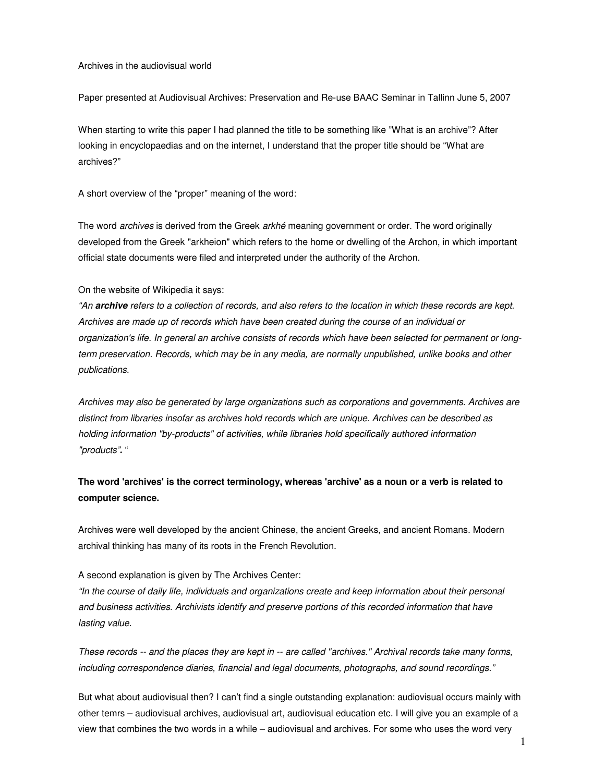Archives in the audiovisual world

Paper presented at Audiovisual Archives: Preservation and Re-use BAAC Seminar in Tallinn June 5, 2007

When starting to write this paper I had planned the title to be something like "What is an archive"? After looking in encyclopaedias and on the internet, I understand that the proper title should be "What are archives?"

A short overview of the "proper" meaning of the word:

The word *archives* is derived from the Greek *arkhé* meaning government or order. The word originally developed from the Greek "arkheion" which refers to the home or dwelling of the Archon, in which important official state documents were filed and interpreted under the authority of the Archon.

### On the website of Wikipedia it says:

"An **archive** refers to a collection of records, and also refers to the location in which these records are kept. Archives are made up of records which have been created during the course of an individual or organization's life. In general an archive consists of records which have been selected for permanent or longterm preservation. Records, which may be in any media, are normally unpublished, unlike books and other publications.

Archives may also be generated by large organizations such as corporations and governments. Archives are distinct from libraries insofar as archives hold records which are unique. Archives can be described as holding information "by-products" of activities, while libraries hold specifically authored information "products"**.** "

**The word 'archives' is the correct terminology, whereas 'archive' as a noun or a verb is related to computer science.** 

Archives were well developed by the ancient Chinese, the ancient Greeks, and ancient Romans. Modern archival thinking has many of its roots in the French Revolution.

#### A second explanation is given by The Archives Center:

"In the course of daily life, individuals and organizations create and keep information about their personal and business activities. Archivists identify and preserve portions of this recorded information that have lasting value.

These records -- and the places they are kept in -- are called "archives." Archival records take many forms, including correspondence diaries, financial and legal documents, photographs, and sound recordings."

But what about audiovisual then? I can't find a single outstanding explanation: audiovisual occurs mainly with other temrs – audiovisual archives, audiovisual art, audiovisual education etc. I will give you an example of a view that combines the two words in a while – audiovisual and archives. For some who uses the word very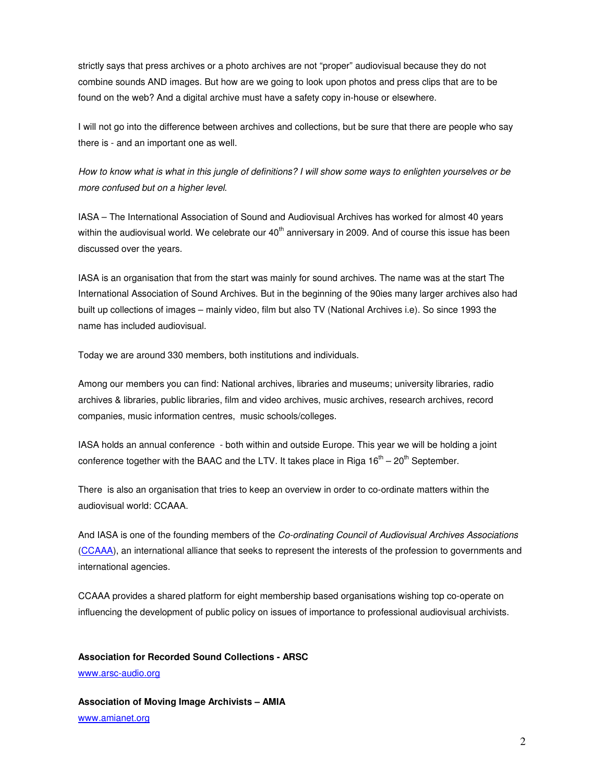strictly says that press archives or a photo archives are not "proper" audiovisual because they do not combine sounds AND images. But how are we going to look upon photos and press clips that are to be found on the web? And a digital archive must have a safety copy in-house or elsewhere.

I will not go into the difference between archives and collections, but be sure that there are people who say there is - and an important one as well.

How to know what is what in this jungle of definitions? I will show some ways to enlighten yourselves or be more confused but on a higher level.

IASA – The International Association of Sound and Audiovisual Archives has worked for almost 40 years within the audiovisual world. We celebrate our  $40<sup>th</sup>$  anniversary in 2009. And of course this issue has been discussed over the years.

IASA is an organisation that from the start was mainly for sound archives. The name was at the start The International Association of Sound Archives. But in the beginning of the 90ies many larger archives also had built up collections of images – mainly video, film but also TV (National Archives i.e). So since 1993 the name has included audiovisual.

Today we are around 330 members, both institutions and individuals.

Among our members you can find: National archives, libraries and museums; university libraries, radio archives & libraries, public libraries, film and video archives, music archives, research archives, record companies, music information centres, music schools/colleges.

IASA holds an annual conference - both within and outside Europe. This year we will be holding a joint conference together with the BAAC and the LTV. It takes place in Riga  $16<sup>th</sup> - 20<sup>th</sup>$  September.

There is also an organisation that tries to keep an overview in order to co-ordinate matters within the audiovisual world: CCAAA.

And IASA is one of the founding members of the Co-ordinating Council of Audiovisual Archives Associations (CCAAA), an international alliance that seeks to represent the interests of the profession to governments and international agencies.

CCAAA provides a shared platform for eight membership based organisations wishing top co-operate on influencing the development of public policy on issues of importance to professional audiovisual archivists.

# **Association for Recorded Sound Collections - ARSC**

www.arsc-audio.org

**Association of Moving Image Archivists – AMIA**  www.amianet.org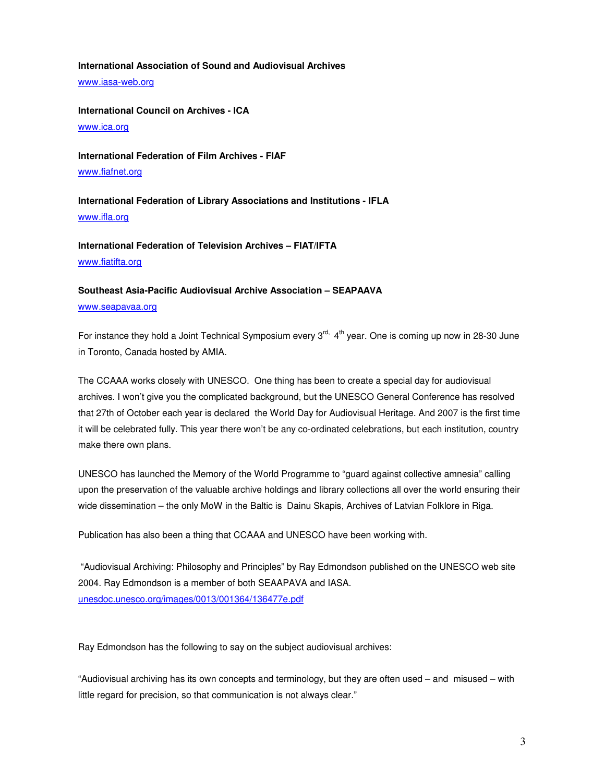## **International Association of Sound and Audiovisual Archives**

www.iasa-web.org

**International Council on Archives - ICA** 

www.ica.org

**International Federation of Film Archives - FIAF**  www.fiafnet.org

**International Federation of Library Associations and Institutions - IFLA**  www.ifla.org

**International Federation of Television Archives – FIAT/IFTA**  www.fiatifta.org

# **Southeast Asia-Pacific Audiovisual Archive Association – SEAPAAVA**

www.seapavaa.org

For instance they hold a Joint Technical Symposium every  $3<sup>rd</sup>$ ,  $4<sup>th</sup>$  year. One is coming up now in 28-30 June in Toronto, Canada hosted by AMIA.

The CCAAA works closely with UNESCO. One thing has been to create a special day for audiovisual archives. I won't give you the complicated background, but the UNESCO General Conference has resolved that 27th of October each year is declared the World Day for Audiovisual Heritage. And 2007 is the first time it will be celebrated fully. This year there won't be any co-ordinated celebrations, but each institution, country make there own plans.

UNESCO has launched the Memory of the World Programme to "guard against collective amnesia" calling upon the preservation of the valuable archive holdings and library collections all over the world ensuring their wide dissemination – the only MoW in the Baltic is Dainu Skapis, Archives of Latvian Folklore in Riga.

Publication has also been a thing that CCAAA and UNESCO have been working with.

 "Audiovisual Archiving: Philosophy and Principles" by Ray Edmondson published on the UNESCO web site 2004. Ray Edmondson is a member of both SEAAPAVA and IASA. unesdoc.unesco.org/images/0013/001364/136477e.pdf

Ray Edmondson has the following to say on the subject audiovisual archives:

"Audiovisual archiving has its own concepts and terminology, but they are often used – and misused – with little regard for precision, so that communication is not always clear."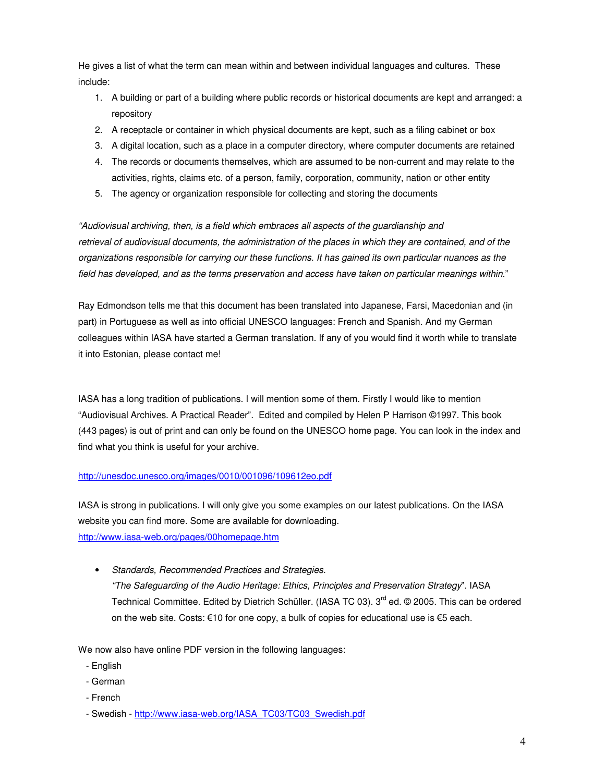He gives a list of what the term can mean within and between individual languages and cultures. These include:

- 1. A building or part of a building where public records or historical documents are kept and arranged: a repository
- 2. A receptacle or container in which physical documents are kept, such as a filing cabinet or box
- 3. A digital location, such as a place in a computer directory, where computer documents are retained
- 4. The records or documents themselves, which are assumed to be non-current and may relate to the activities, rights, claims etc. of a person, family, corporation, community, nation or other entity
- 5. The agency or organization responsible for collecting and storing the documents

"Audiovisual archiving, then, is a field which embraces all aspects of the guardianship and retrieval of audiovisual documents, the administration of the places in which they are contained, and of the organizations responsible for carrying our these functions. It has gained its own particular nuances as the field has developed, and as the terms preservation and access have taken on particular meanings within."

Ray Edmondson tells me that this document has been translated into Japanese, Farsi, Macedonian and (in part) in Portuguese as well as into official UNESCO languages: French and Spanish. And my German colleagues within IASA have started a German translation. If any of you would find it worth while to translate it into Estonian, please contact me!

IASA has a long tradition of publications. I will mention some of them. Firstly I would like to mention "Audiovisual Archives. A Practical Reader". Edited and compiled by Helen P Harrison ©1997. This book (443 pages) is out of print and can only be found on the UNESCO home page. You can look in the index and find what you think is useful for your archive.

# http://unesdoc.unesco.org/images/0010/001096/109612eo.pdf

IASA is strong in publications. I will only give you some examples on our latest publications. On the IASA website you can find more. Some are available for downloading. http://www.iasa-web.org/pages/00homepage.htm

• Standards, Recommended Practices and Strategies.

"The Safeguarding of the Audio Heritage: Ethics, Principles and Preservation Strategy". IASA Technical Committee. Edited by Dietrich Schüller. (IASA TC 03). 3<sup>rd</sup> ed. © 2005. This can be ordered on the web site. Costs: €10 for one copy, a bulk of copies for educational use is €5 each.

We now also have online PDF version in the following languages:

- English
- German
- French
- Swedish http://www.iasa-web.org/IASA\_TC03/TC03\_Swedish.pdf